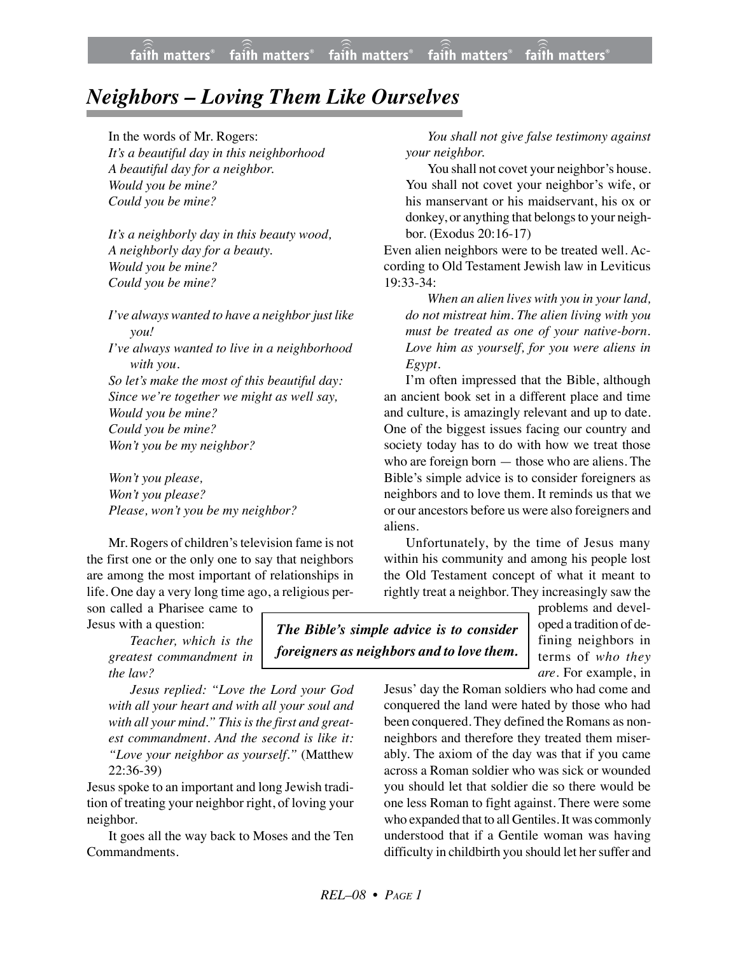## *Neighbors – Loving Them Like Ourselves*

In the words of Mr. Rogers:

*It's a beautiful day in this neighborhood A beautiful day for a neighbor. Would you be mine? Could you be mine?*

*It's a neighborly day in this beauty wood, A neighborly day for a beauty. Would you be mine? Could you be mine?*

*I*'ve always wanted to have a neighbor just like *you! I've always wanted to live in a neighborhood with you. So let's make the most of this beautiful day: Since we're together we might as well say, Would you be mine? Could you be mine? Won't you be my neighbor?*

*Won't you please, Won't you please? Please, won't you be my neighbor?*

Mr. Rogers of children's television fame is not the first one or the only one to say that neighbors are among the most important of relationships in life. One day a very long time ago, a religious per-

son called a Pharisee came to Jesus with a question:

> *Teacher, which is the greatest commandment in the law?*

*Jesus replied: "Love the Lord your God with all your heart and with all your soul and with all your mind." This is the first and greatest commandment. And the second is like it: "Love your neighbor as yourself."* (Matthew 22:36-39)

Jesus spoke to an important and long Jewish tradition of treating your neighbor right, of loving your neighbor.

It goes all the way back to Moses and the Ten Commandments.

*You shall not give false testimony against your neighbor.*

You shall not covet your neighbor's house. You shall not covet your neighbor's wife, or his manservant or his maidservant, his ox or donkey, or anything that belongs to your neighbor. (Exodus 20:16-17)

Even alien neighbors were to be treated well. According to Old Testament Jewish law in Leviticus 19:33-34:

*When an alien lives with you in your land, do not mistreat him. The alien living with you must be treated as one of your native-born. Love him as yourself, for you were aliens in Egypt.*

I'm often impressed that the Bible, although an ancient book set in a different place and time and culture, is amazingly relevant and up to date. One of the biggest issues facing our country and society today has to do with how we treat those who are foreign born — those who are aliens. The Bible's simple advice is to consider foreigners as neighbors and to love them. It reminds us that we or our ancestors before us were also foreigners and aliens.

Unfortunately, by the time of Jesus many within his community and among his people lost the Old Testament concept of what it meant to rightly treat a neighbor. They increasingly saw the

*The Bible's simple advice is to consider foreigners as neighbors and to love them.* problems and developed a tradition of defining neighbors in terms of *who they are*. For example, in

Jesus' day the Roman soldiers who had come and conquered the land were hated by those who had been conquered. They defined the Romans as nonneighbors and therefore they treated them miserably. The axiom of the day was that if you came across a Roman soldier who was sick or wounded you should let that soldier die so there would be one less Roman to fight against. There were some who expanded that to all Gentiles. It was commonly understood that if a Gentile woman was having difficulty in childbirth you should let her suffer and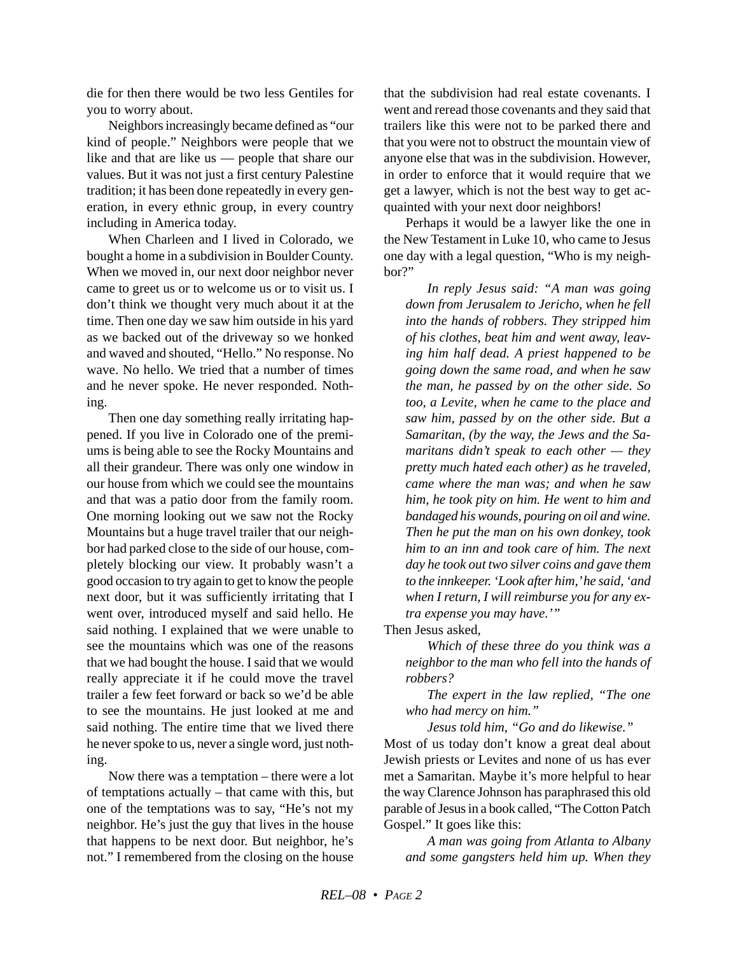die for then there would be two less Gentiles for you to worry about.

Neighbors increasingly became defined as "our kind of people." Neighbors were people that we like and that are like us — people that share our values. But it was not just a first century Palestine tradition; it has been done repeatedly in every generation, in every ethnic group, in every country including in America today.

When Charleen and I lived in Colorado, we bought a home in a subdivision in Boulder County. When we moved in, our next door neighbor never came to greet us or to welcome us or to visit us. I don't think we thought very much about it at the time. Then one day we saw him outside in his yard as we backed out of the driveway so we honked and waved and shouted, "Hello." No response. No wave. No hello. We tried that a number of times and he never spoke. He never responded. Nothing.

Then one day something really irritating happened. If you live in Colorado one of the premiums is being able to see the Rocky Mountains and all their grandeur. There was only one window in our house from which we could see the mountains and that was a patio door from the family room. One morning looking out we saw not the Rocky Mountains but a huge travel trailer that our neighbor had parked close to the side of our house, completely blocking our view. It probably wasn't a good occasion to try again to get to know the people next door, but it was sufficiently irritating that I went over, introduced myself and said hello. He said nothing. I explained that we were unable to see the mountains which was one of the reasons that we had bought the house. I said that we would really appreciate it if he could move the travel trailer a few feet forward or back so we'd be able to see the mountains. He just looked at me and said nothing. The entire time that we lived there he never spoke to us, never a single word, just nothing.

Now there was a temptation – there were a lot of temptations actually – that came with this, but one of the temptations was to say, "He's not my neighbor. He's just the guy that lives in the house that happens to be next door. But neighbor, he's not." I remembered from the closing on the house that the subdivision had real estate covenants. I went and reread those covenants and they said that trailers like this were not to be parked there and that you were not to obstruct the mountain view of anyone else that was in the subdivision. However, in order to enforce that it would require that we get a lawyer, which is not the best way to get acquainted with your next door neighbors!

Perhaps it would be a lawyer like the one in the New Testament in Luke 10, who came to Jesus one day with a legal question, "Who is my neighbor?"

*In reply Jesus said: "A man was going down from Jerusalem to Jericho, when he fell into the hands of robbers. They stripped him of his clothes, beat him and went away, leaving him half dead. A priest happened to be going down the same road, and when he saw the man, he passed by on the other side. So too, a Levite, when he came to the place and saw him, passed by on the other side. But a Samaritan, (by the way, the Jews and the Samaritans didn't speak to each other — they pretty much hated each other) as he traveled, came where the man was; and when he saw him, he took pity on him. He went to him and bandaged his wounds, pouring on oil and wine. Then he put the man on his own donkey, took him to an inn and took care of him. The next day he took out two silver coins and gave them to the innkeeper. 'Look after him,' he said, 'and when I return, I will reimburse you for any extra expense you may have.'"*

Then Jesus asked,

*Which of these three do you think was a neighbor to the man who fell into the hands of robbers?*

*The expert in the law replied, "The one who had mercy on him."*

*Jesus told him, "Go and do likewise."*

Most of us today don't know a great deal about Jewish priests or Levites and none of us has ever met a Samaritan. Maybe it's more helpful to hear the way Clarence Johnson has paraphrased this old parable of Jesus in a book called, "The Cotton Patch Gospel." It goes like this:

*A man was going from Atlanta to Albany and some gangsters held him up. When they*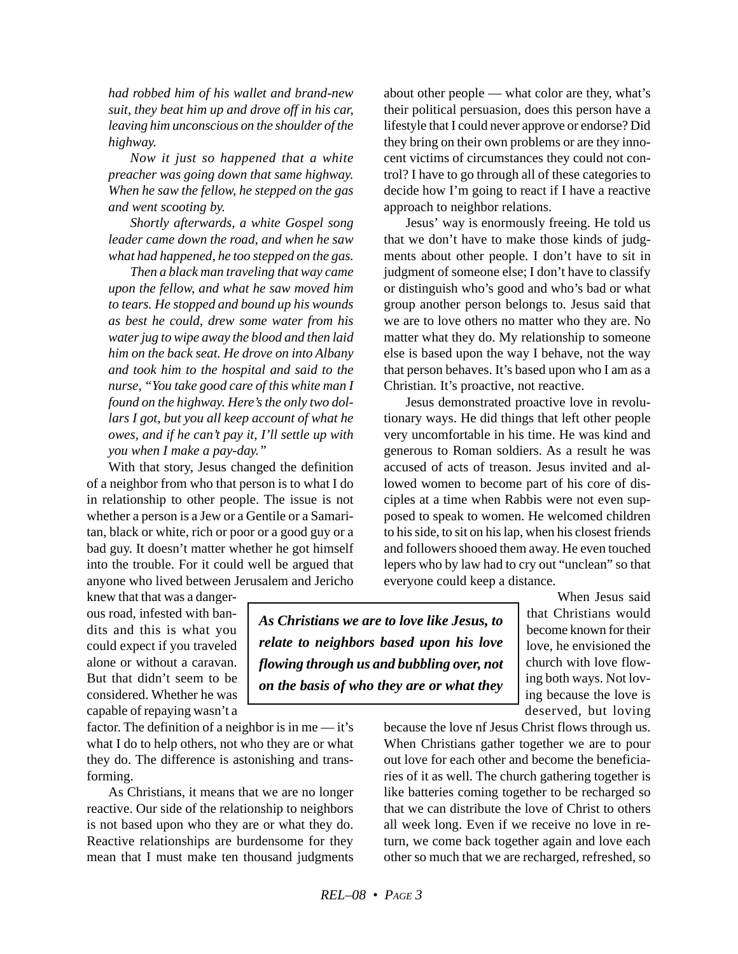*had robbed him of his wallet and brand-new suit, they beat him up and drove off in his car, leaving him unconscious on the shoulder of the highway.*

*Now it just so happened that a white preacher was going down that same highway. When he saw the fellow, he stepped on the gas and went scooting by.*

*Shortly afterwards, a white Gospel song leader came down the road, and when he saw what had happened, he too stepped on the gas.*

*Then a black man traveling that way came upon the fellow, and what he saw moved him to tears. He stopped and bound up his wounds as best he could, drew some water from his water jug to wipe away the blood and then laid him on the back seat. He drove on into Albany and took him to the hospital and said to the nurse, "You take good care of this white man I found on the highway. Here's the only two dollars I got, but you all keep account of what he owes, and if he can't pay it, I'll settle up with you when I make a pay-day."*

With that story, Jesus changed the definition of a neighbor from who that person is to what I do in relationship to other people. The issue is not whether a person is a Jew or a Gentile or a Samaritan, black or white, rich or poor or a good guy or a bad guy. It doesn't matter whether he got himself into the trouble. For it could well be argued that anyone who lived between Jerusalem and Jericho about other people — what color are they, what's their political persuasion, does this person have a lifestyle that I could never approve or endorse? Did they bring on their own problems or are they innocent victims of circumstances they could not control? I have to go through all of these categories to decide how I'm going to react if I have a reactive approach to neighbor relations.

Jesus' way is enormously freeing. He told us that we don't have to make those kinds of judgments about other people. I don't have to sit in judgment of someone else; I don't have to classify or distinguish who's good and who's bad or what group another person belongs to. Jesus said that we are to love others no matter who they are. No matter what they do. My relationship to someone else is based upon the way I behave, not the way that person behaves. It's based upon who I am as a Christian. It's proactive, not reactive.

Jesus demonstrated proactive love in revolutionary ways. He did things that left other people very uncomfortable in his time. He was kind and generous to Roman soldiers. As a result he was accused of acts of treason. Jesus invited and allowed women to become part of his core of disciples at a time when Rabbis were not even supposed to speak to women. He welcomed children to his side, to sit on his lap, when his closest friends and followers shooed them away. He even touched lepers who by law had to cry out "unclean" so that everyone could keep a distance.

knew that that was a dangerous road, infested with bandits and this is what you could expect if you traveled alone or without a caravan. But that didn't seem to be considered. Whether he was capable of repaying wasn't a

factor. The definition of a neighbor is in me — it's what I do to help others, not who they are or what they do. The difference is astonishing and transforming.

As Christians, it means that we are no longer reactive. Our side of the relationship to neighbors is not based upon who they are or what they do. Reactive relationships are burdensome for they mean that I must make ten thousand judgments

*As Christians we are to love like Jesus, to relate to neighbors based upon his love flowing through us and bubbling over, not on the basis of who they are or what they*

When Jesus said that Christians would become known for their love, he envisioned the church with love flowing both ways. Not loving because the love is deserved, but loving

because the love nf Jesus Christ flows through us. When Christians gather together we are to pour out love for each other and become the beneficiaries of it as well. The church gathering together is like batteries coming together to be recharged so that we can distribute the love of Christ to others all week long. Even if we receive no love in return, we come back together again and love each other so much that we are recharged, refreshed, so